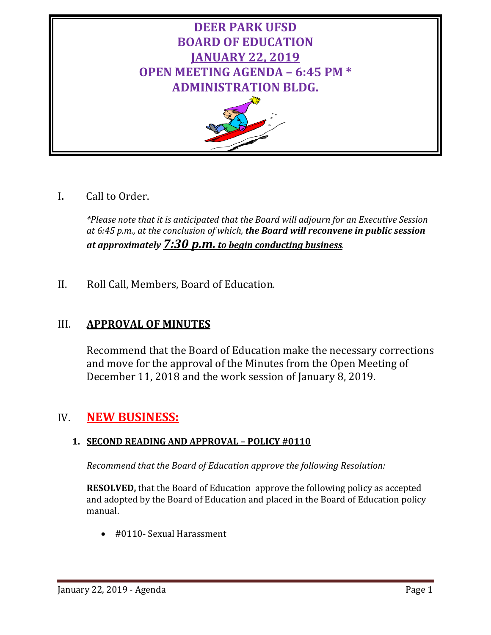

# I**.** Call to Order.

*\*Please note that it is anticipated that the Board will adjourn for an Executive Session at 6:45 p.m., at the conclusion of which, the Board will reconvene in public session at approximately 7:30 p.m. to begin conducting business.*

II. Roll Call, Members, Board of Education.

# III. **APPROVAL OF MINUTES**

Recommend that the Board of Education make the necessary corrections and move for the approval of the Minutes from the Open Meeting of December 11, 2018 and the work session of January 8, 2019.

# IV. **NEW BUSINESS:**

## **1. SECOND READING AND APPROVAL – POLICY #0110**

*Recommend that the Board of Education approve the following Resolution:*

**RESOLVED,** that the Board of Education approve the following policy as accepted and adopted by the Board of Education and placed in the Board of Education policy manual.

• #0110- Sexual Harassment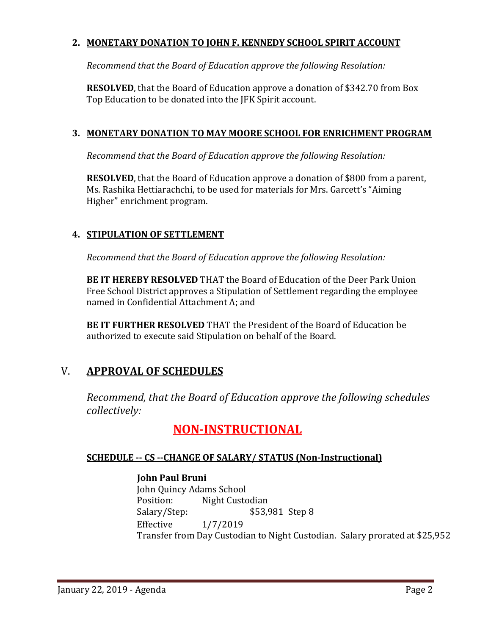## **2. MONETARY DONATION TO JOHN F. KENNEDY SCHOOL SPIRIT ACCOUNT**

*Recommend that the Board of Education approve the following Resolution:*

**RESOLVED**, that the Board of Education approve a donation of \$342.70 from Box Top Education to be donated into the JFK Spirit account.

## **3. MONETARY DONATION TO MAY MOORE SCHOOL FOR ENRICHMENT PROGRAM**

*Recommend that the Board of Education approve the following Resolution:*

**RESOLVED**, that the Board of Education approve a donation of \$800 from a parent, Ms. Rashika Hettiarachchi, to be used for materials for Mrs. Garcett's "Aiming Higher" enrichment program.

## **4. STIPULATION OF SETTLEMENT**

*Recommend that the Board of Education approve the following Resolution:*

**BE IT HEREBY RESOLVED** THAT the Board of Education of the Deer Park Union Free School District approves a Stipulation of Settlement regarding the employee named in Confidential Attachment A; and

**BE IT FURTHER RESOLVED** THAT the President of the Board of Education be authorized to execute said Stipulation on behalf of the Board.

## V. **APPROVAL OF SCHEDULES**

*Recommend, that the Board of Education approve the following schedules collectively:*

# **NON-INSTRUCTIONAL**

## **SCHEDULE -- CS --CHANGE OF SALARY/ STATUS (Non-Instructional)**

## **John Paul Bruni**

John Quincy Adams School<br>Position: Night Custo Position: Night Custodian<br>Salary/Step: \$53,9 \$53,981 Step 8 Effective 1/7/2019 Transfer from Day Custodian to Night Custodian. Salary prorated at \$25,952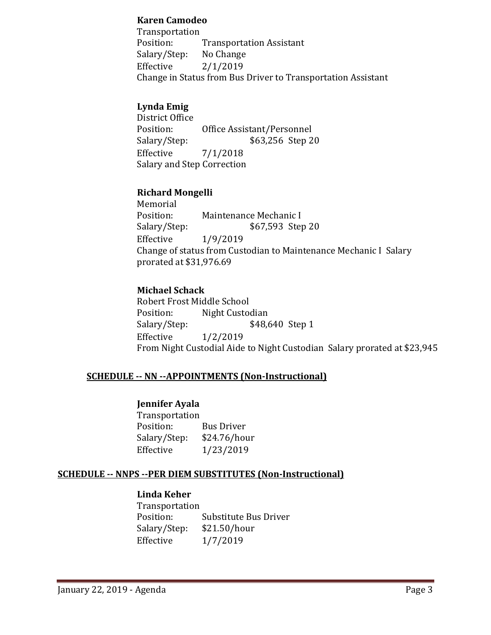#### **Karen Camodeo**

Transportation<br>Position: Transportation Assistant<br>No Change Salary/Step:<br>Effective  $2/1/2019$ Change in Status from Bus Driver to Transportation Assistant

## **Lynda Emig**

District Office<br>Position: Position: Office Assistant/Personnel<br>Salary/Step: \$63,256 Step 2 \$63,256 Step 20 Effective 7/1/2018 Salary and Step Correction

### **Richard Mongelli**

Memorial<br>Position: Position: Maintenance Mechanic I<br>Salary/Step: \$67,593 Step Salary/Step: \$67,593 Step 20<br>Effective 1/9/2019 Effective 1/9/2019 Change of status from Custodian to Maintenance Mechanic I Salary prorated at \$31,976.69

## **Michael Schack**

Robert Frost Middle School<br>Position: Night Custoo Position: Night Custodian<br>Salary/Step: \$48,6 Salary/Step: \$48,640 Step 1<br>Effective 1/2/2019  $1/2/2019$ From Night Custodial Aide to Night Custodian Salary prorated at \$23,945

## **SCHEDULE -- NN --APPOINTMENTS (Non-Instructional)**

### **Jennifer Ayala**

Transportation<br>Position: Bus Driver<br>\$24.76/hour Salary/Step:<br>Effective Effective 1/23/2019

### **SCHEDULE -- NNPS --PER DIEM SUBSTITUTES (Non-Instructional)**

### **Linda Keher**

Transportation<br>Position: Substitute Bus Driver<br>\$21.50/hour Salary/Step:<br>Effective Effective 1/7/2019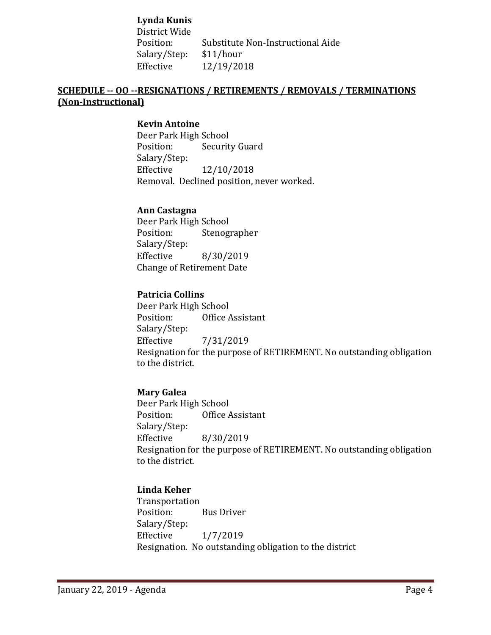**Lynda Kunis** District Wide Substitute Non-Instructional Aide<br>\$11/hour Salary/Step:<br>Effective Effective 12/19/2018

## **SCHEDULE -- OO --RESIGNATIONS / RETIREMENTS / REMOVALS / TERMINATIONS (Non-Instructional)**

#### **Kevin Antoine**

Deer Park High School<br>Position: Securit **Security Guard** Salary/Step:<br>Effective Effective 12/10/2018 Removal. Declined position, never worked.

#### **Ann Castagna**

Deer Park High School<br>Position: Stenog Stenographer Salary/Step: Effective 8/30/2019 Change of Retirement Date

#### **Patricia Collins**

Deer Park High School<br>Position: Office Office Assistant Salary/Step:<br>Effective Effective 7/31/2019 Resignation for the purpose of RETIREMENT. No outstanding obligation to the district.

### **Mary Galea**

Deer Park High School<br>Position: Office Office Assistant Salary/Step:<br>Effective Effective 8/30/2019 Resignation for the purpose of RETIREMENT. No outstanding obligation to the district.

### **Linda Keher**

Transportation **Bus Driver** Salary/Step:<br>Effective Effective 1/7/2019 Resignation. No outstanding obligation to the district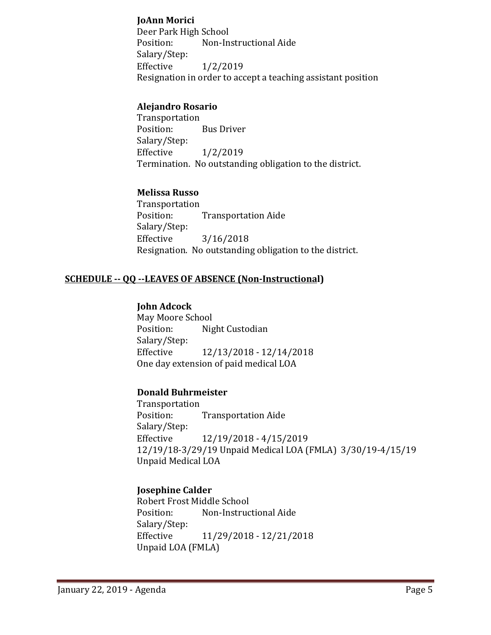### **JoAnn Morici**

Deer Park High School<br>Position: Non-In Non-Instructional Aide Salary/Step:<br>Effective  $1/2/2019$ Resignation in order to accept a teaching assistant position

### **Alejandro Rosario**

Transportation<br>Position: **Bus Driver** Salary/Step:<br>Effective  $1/2/2019$ Termination. No outstanding obligation to the district.

## **Melissa Russo**

Transportation<br>Position: **Transportation Aide** Salary/Step:  $3/16/2018$ Resignation. No outstanding obligation to the district.

## **SCHEDULE -- QQ --LEAVES OF ABSENCE (Non-Instructional)**

### **John Adcock**

May Moore School<br>Position: Nig Night Custodian Salary/Step:<br>Effective Effective 12/13/2018 - 12/14/2018 One day extension of paid medical LOA

### **Donald Buhrmeister**

Transportation **Transportation Aide** Salary/Step: Effective 12/19/2018 - 4/15/2019 12/19/18-3/29/19 Unpaid Medical LOA (FMLA) 3/30/19-4/15/19 Unpaid Medical LOA

## **Josephine Calder**

Robert Frost Middle School Non-Instructional Aide Salary/Step:<br>Effective Effective 11/29/2018 - 12/21/2018 Unpaid LOA (FMLA)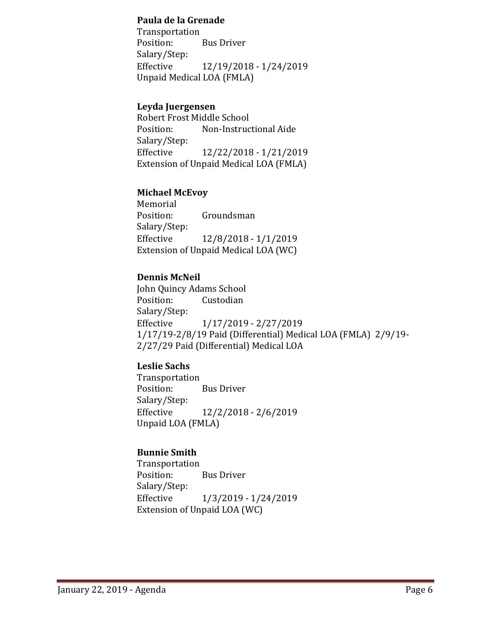#### **Paula de la Grenade**

Transportation<br>Position: **Bus Driver** Salary/Step:<br>Effective Effective 12/19/2018 - 1/24/2019 Unpaid Medical LOA (FMLA)

## **Leyda Juergensen**

Robert Frost Middle School Non-Instructional Aide Salary/Step:<br>Effective Effective 12/22/2018 - 1/21/2019 Extension of Unpaid Medical LOA (FMLA)

### **Michael McEvoy**

Memorial<br>Position: Groundsman Salary/Step:<br>Effective Effective 12/8/2018 - 1/1/2019 Extension of Unpaid Medical LOA (WC)

## **Dennis McNeil**

John Quincy Adams School<br>Position: Custodian Custodian Salary/Step: Effective 1/17/2019 - 2/27/2019 1/17/19-2/8/19 Paid (Differential) Medical LOA (FMLA) 2/9/19- 2/27/29 Paid (Differential) Medical LOA

## **Leslie Sachs**

Transportation **Bus Driver** Salary/Step:<br>Effective Effective 12/2/2018 - 2/6/2019 Unpaid LOA (FMLA)

### **Bunnie Smith**

Transportation **Bus Driver** Salary/Step: Effective 1/3/2019 - 1/24/2019 Extension of Unpaid LOA (WC)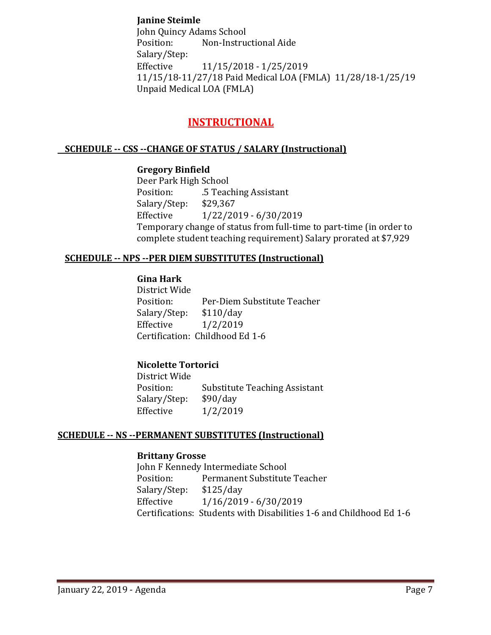## **Janine Steimle**

John Quincy Adams School<br>Position: Non-Instrue Non-Instructional Aide Salary/Step:<br>Effective Effective 11/15/2018 - 1/25/2019 11/15/18-11/27/18 Paid Medical LOA (FMLA) 11/28/18-1/25/19 Unpaid Medical LOA (FMLA)

## **INSTRUCTIONAL**

### **SCHEDULE -- CSS --CHANGE OF STATUS / SALARY (Instructional)**

### **Gregory Binfield**

Deer Park High School<br>Position: 5 Teac .5 Teaching Assistant<br>\$29,367 Salary/Step:<br>Effective Effective 1/22/2019 - 6/30/2019 Temporary change of status from full-time to part-time (in order to complete student teaching requirement) Salary prorated at \$7,929

### **SCHEDULE -- NPS --PER DIEM SUBSTITUTES (Instructional)**

## **Gina Hark**

District Wide Per-Diem Substitute Teacher<br>\$110/day Salary/Step: Effective 1/2/2019 Certification: Childhood Ed 1-6

## **Nicolette Tortorici**

District Wide Substitute Teaching Assistant<br>\$90/day Salary/Step:<br>Effective  $1/2/2019$ 

### **SCHEDULE -- NS --PERMANENT SUBSTITUTES (Instructional)**

#### **Brittany Grosse**

John F Kennedy Intermediate School<br>Position: Permanent Substitute Permanent Substitute Teacher<br>\$125/day Salary/Step:<br>Effective  $1/16/2019 - 6/30/2019$ Certifications: Students with Disabilities 1-6 and Childhood Ed 1-6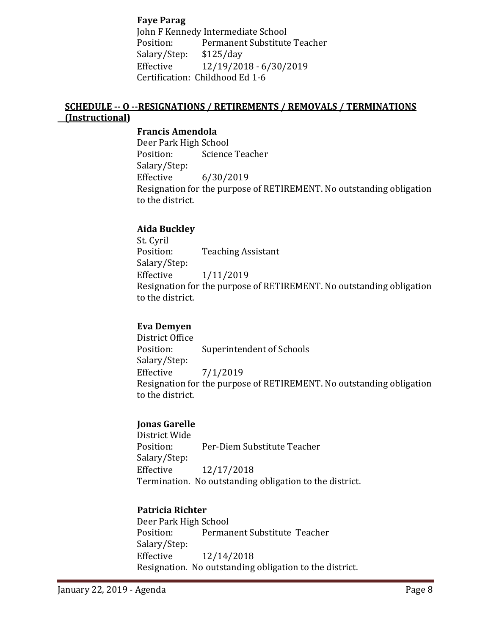**Faye Parag**

John F Kennedy Intermediate School<br>Position: Permanent Substitute Permanent Substitute Teacher<br>\$125/day Salary/Step:<br>Effective Effective 12/19/2018 - 6/30/2019 Certification: Childhood Ed 1-6

## **SCHEDULE -- O --RESIGNATIONS / RETIREMENTS / REMOVALS / TERMINATIONS (Instructional)**

## **Francis Amendola**

Deer Park High School<br>Position: Science Science Teacher Salary/Step:<br>Effective Effective 6/30/2019 Resignation for the purpose of RETIREMENT. No outstanding obligation to the district.

### **Aida Buckley**

St. Cyril<br>Position: **Teaching Assistant** Salary/Step:<br>Effective Effective 1/11/2019 Resignation for the purpose of RETIREMENT. No outstanding obligation to the district.

### **Eva Demyen**

District Office Superintendent of Schools Salary/Step:  $7/1/2019$ Resignation for the purpose of RETIREMENT. No outstanding obligation to the district.

## **Jonas Garelle**

District Wide Per-Diem Substitute Teacher Salary/Step:<br>Effective Effective 12/17/2018 Termination. No outstanding obligation to the district.

### **Patricia Richter**

Deer Park High School<br>Position: Permai Permanent Substitute Teacher Salary/Step:<br>Effective Effective 12/14/2018 Resignation. No outstanding obligation to the district.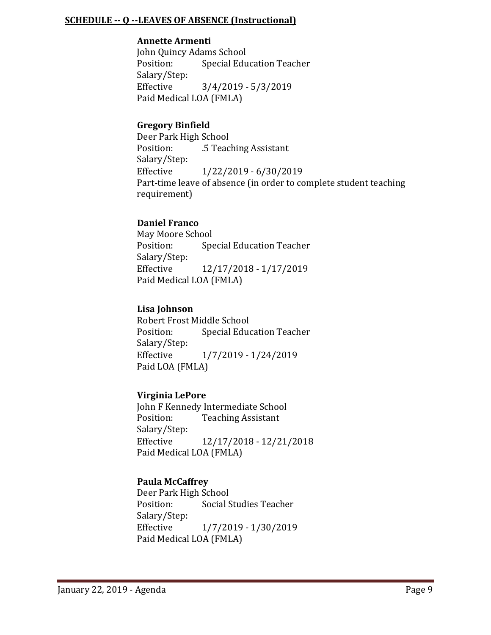#### **SCHEDULE -- Q --LEAVES OF ABSENCE (Instructional)**

#### **Annette Armenti**

John Quincy Adams School<br>Position: Special Edu **Special Education Teacher** Salary/Step:<br>Effective Effective 3/4/2019 - 5/3/2019 Paid Medical LOA (FMLA)

## **Gregory Binfield**

Deer Park High School<br>Position: 5 Teac .5 Teaching Assistant Salary/Step: Effective 1/22/2019 - 6/30/2019 Part-time leave of absence (in order to complete student teaching requirement)

## **Daniel Franco**

May Moore School<br>Position: Spe **Special Education Teacher** Salary/Step:<br>Effective Effective 12/17/2018 - 1/17/2019 Paid Medical LOA (FMLA)

## **Lisa Johnson**

Robert Frost Middle School<br>Position: Special Educ **Special Education Teacher** Salary/Step: Effective 1/7/2019 - 1/24/2019 Paid LOA (FMLA)

### **Virginia LePore**

John F Kennedy Intermediate School<br>Position: Teaching Assistant **Teaching Assistant** Salary/Step: Effective 12/17/2018 - 12/21/2018 Paid Medical LOA (FMLA)

### **Paula McCaffrey**

Deer Park High School<br>Position: Social S Social Studies Teacher Salary/Step:<br>Effective Effective 1/7/2019 - 1/30/2019 Paid Medical LOA (FMLA)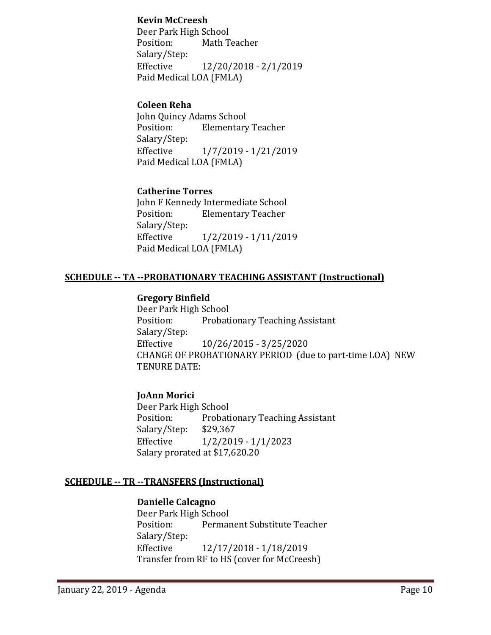### **Kevin McCreesh**

Deer Park High School<br>Position: Math T Math Teacher Salary/Step:<br>Effective Effective 12/20/2018 - 2/1/2019 Paid Medical LOA (FMLA)

### **Coleen Reha**

John Quincy Adams School **Elementary Teacher** Salary/Step:<br>Effective Effective 1/7/2019 - 1/21/2019 Paid Medical LOA (FMLA)

## **Catherine Torres**

John F Kennedy Intermediate School **Elementary Teacher** Salary/Step:<br>Effective Effective 1/2/2019 - 1/11/2019 Paid Medical LOA (FMLA)

### **SCHEDULE -- TA --PROBATIONARY TEACHING ASSISTANT (Instructional)**

### **Gregory Binfield**

Deer Park High School<br>Position: Probati Probationary Teaching Assistant Salary/Step:<br>Effective Effective 10/26/2015 - 3/25/2020 CHANGE OF PROBATIONARY PERIOD (due to part-time LOA) NEW TENURE DATE:

## **JoAnn Morici**

Deer Park High School<br>Position: Probati Probationary Teaching Assistant<br>\$29,367 Salary/Step:<br>Effective Effective 1/2/2019 - 1/1/2023 Salary prorated at \$17,620.20

### **SCHEDULE -- TR --TRANSFERS (Instructional)**

### **Danielle Calcagno**

Deer Park High School<br>Position: Permai Permanent Substitute Teacher Salary/Step:<br>Effective Effective 12/17/2018 - 1/18/2019 Transfer from RF to HS (cover for McCreesh)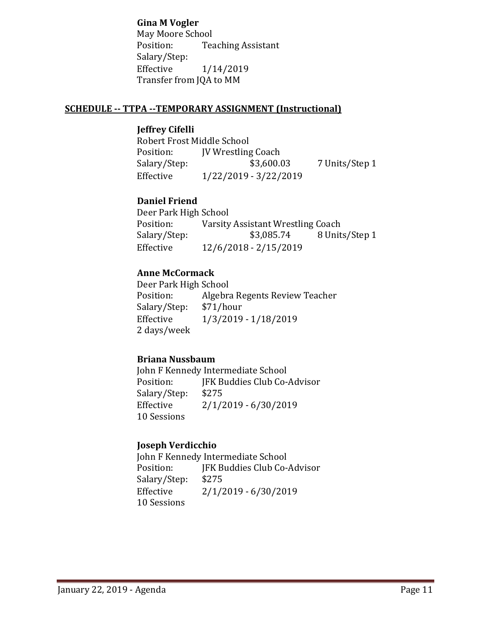**Gina M Vogler**

May Moore School<br>Position: Tea **Teaching Assistant** Salary/Step: Effective 1/14/2019 Transfer from JQA to MM

## **SCHEDULE -- TTPA --TEMPORARY ASSIGNMENT (Instructional)**

### **Jeffrey Cifelli**

Robert Frost Middle School Position: JV Wrestling Coach<br>Salary/Step: \$3,600.03 7 Units/Step 1 Effective 1/22/2019 - 3/22/2019

## **Daniel Friend**

Deer Park High School<br>Position: Varsity Position: Varsity Assistant Wrestling Coach<br>Salary/Step: \$3,085.74 8 Unit Salary/Step: \$3,085.74 8 Units/Step 1<br>Effective 12/6/2018 - 2/15/2019 Effective 12/6/2018 - 2/15/2019

## **Anne McCormack**

Deer Park High School<br>Position: Algebra Algebra Regents Review Teacher<br>\$71/hour Salary/Step:<br>Effective Effective 1/3/2019 - 1/18/2019 2 days/week

### **Briana Nussbaum**

John F Kennedy Intermediate School<br>Position: [FK Buddies Club Co-JFK Buddies Club Co-Advisor<br>\$275 Salary/Step:<br>Effective  $2/1/2019 - 6/30/2019$ 10 Sessions

## **Joseph Verdicchio**

John F Kennedy Intermediate School<br>Position: [FK Buddies Club Co-JFK Buddies Club Co-Advisor<br>\$275 Salary/Step:<br>Effective  $2/1/2019 - 6/30/2019$ 10 Sessions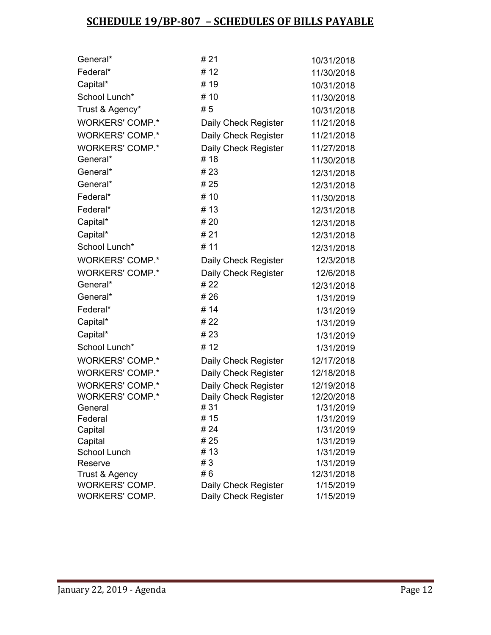# **SCHEDULE 19/BP-807 – SCHEDULES OF BILLS PAYABLE**

| General*               | # 21                 | 10/31/2018 |
|------------------------|----------------------|------------|
| Federal*               | #12                  |            |
|                        | #19                  | 11/30/2018 |
| Capital*               |                      | 10/31/2018 |
| School Lunch*          | #10                  | 11/30/2018 |
| Trust & Agency*        | #5                   | 10/31/2018 |
| <b>WORKERS' COMP.*</b> | Daily Check Register | 11/21/2018 |
| <b>WORKERS' COMP.*</b> | Daily Check Register | 11/21/2018 |
| <b>WORKERS' COMP.*</b> | Daily Check Register | 11/27/2018 |
| General*               | #18                  | 11/30/2018 |
| General*               | #23                  | 12/31/2018 |
| General*               | # 25                 | 12/31/2018 |
| Federal*               | # 10                 | 11/30/2018 |
| Federal*               | #13                  | 12/31/2018 |
| Capital*               | # 20                 | 12/31/2018 |
| Capital*               | #21                  | 12/31/2018 |
| School Lunch*          | # 11                 | 12/31/2018 |
| <b>WORKERS' COMP.*</b> | Daily Check Register | 12/3/2018  |
| <b>WORKERS' COMP.*</b> | Daily Check Register | 12/6/2018  |
| General*               | # 22                 | 12/31/2018 |
| General*               | #26                  | 1/31/2019  |
| Federal*               | #14                  | 1/31/2019  |
| Capital*               | # 22                 | 1/31/2019  |
| Capital*               | #23                  | 1/31/2019  |
| School Lunch*          | #12                  | 1/31/2019  |
| <b>WORKERS' COMP.*</b> | Daily Check Register | 12/17/2018 |
| <b>WORKERS' COMP.*</b> | Daily Check Register | 12/18/2018 |
| <b>WORKERS' COMP.*</b> | Daily Check Register | 12/19/2018 |
| <b>WORKERS' COMP.*</b> | Daily Check Register | 12/20/2018 |
| General                | #31                  | 1/31/2019  |
| Federal                | # 15                 | 1/31/2019  |
| Capital                | # 24                 | 1/31/2019  |
| Capital                | #25                  | 1/31/2019  |
| School Lunch           | #13                  | 1/31/2019  |
| Reserve                | #3                   | 1/31/2019  |
| Trust & Agency         | #6                   | 12/31/2018 |
| <b>WORKERS' COMP.</b>  | Daily Check Register | 1/15/2019  |
| WORKERS' COMP.         | Daily Check Register | 1/15/2019  |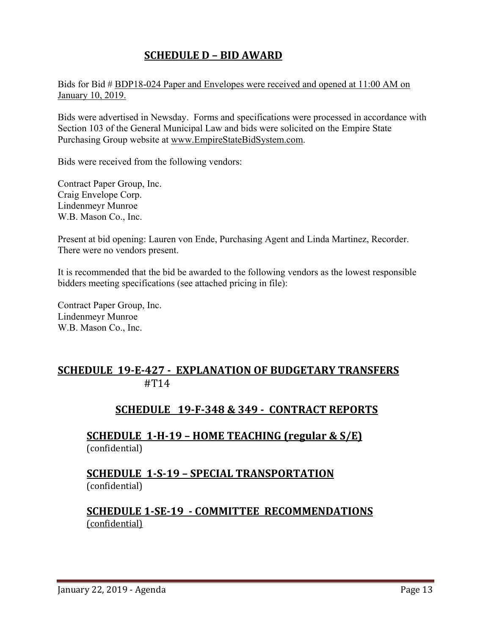# **SCHEDULE D – BID AWARD**

Bids for Bid # BDP18-024 Paper and Envelopes were received and opened at 11:00 AM on January 10, 2019.

Bids were advertised in Newsday. Forms and specifications were processed in accordance with Section 103 of the General Municipal Law and bids were solicited on the Empire State Purchasing Group website at [www.EmpireStateBidSystem.com.](http://www.empirestatebidsystem.com/)

Bids were received from the following vendors:

Contract Paper Group, Inc. Craig Envelope Corp. Lindenmeyr Munroe W.B. Mason Co., Inc.

Present at bid opening: Lauren von Ende, Purchasing Agent and Linda Martinez, Recorder. There were no vendors present.

It is recommended that the bid be awarded to the following vendors as the lowest responsible bidders meeting specifications (see attached pricing in file):

Contract Paper Group, Inc. Lindenmeyr Munroe W.B. Mason Co., Inc.

## **SCHEDULE 19-E-427 - EXPLANATION OF BUDGETARY TRANSFERS** #T14

## **SCHEDULE 19-F-348 & 349 - CONTRACT REPORTS**

**SCHEDULE 1-H-19 – HOME TEACHING (regular & S/E)**  (confidential)

## **SCHEDULE 1-S-19 – SPECIAL TRANSPORTATION**  (confidential)

## **SCHEDULE 1-SE-19 - COMMITTEE RECOMMENDATIONS** (confidential)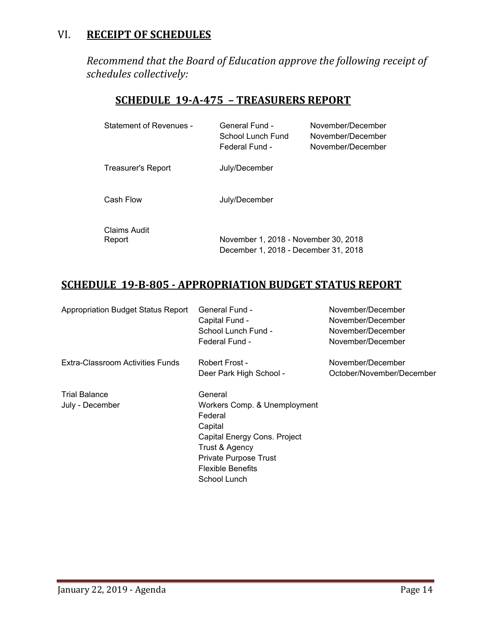## VI. **RECEIPT OF SCHEDULES**

*Recommend that the Board of Education approve the following receipt of schedules collectively:*

## **SCHEDULE 19-A-475 – TREASURERS REPORT**

| Statement of Revenues - | General Fund -<br>School Lunch Fund<br>Federal Fund -                        | November/December<br>November/December<br>November/December |
|-------------------------|------------------------------------------------------------------------------|-------------------------------------------------------------|
| Treasurer's Report      | July/December                                                                |                                                             |
| Cash Flow               | July/December                                                                |                                                             |
| Claims Audit<br>Report  | November 1, 2018 - November 30, 2018<br>December 1, 2018 - December 31, 2018 |                                                             |

# **SCHEDULE 19-B-805 - APPROPRIATION BUDGET STATUS REPORT**

| <b>Appropriation Budget Status Report</b> | General Fund -               | November/December         |
|-------------------------------------------|------------------------------|---------------------------|
|                                           | Capital Fund -               | November/December         |
|                                           | School Lunch Fund -          | November/December         |
|                                           | Federal Fund -               | November/December         |
| Extra-Classroom Activities Funds          | Robert Frost -               | November/December         |
|                                           | Deer Park High School -      | October/November/December |
| <b>Trial Balance</b>                      | General                      |                           |
| July - December                           | Workers Comp. & Unemployment |                           |
|                                           | Federal                      |                           |
|                                           | Capital                      |                           |
|                                           | Capital Energy Cons. Project |                           |
|                                           | Trust & Agency               |                           |
|                                           | Private Purpose Trust        |                           |
|                                           | <b>Flexible Benefits</b>     |                           |
|                                           | School Lunch                 |                           |